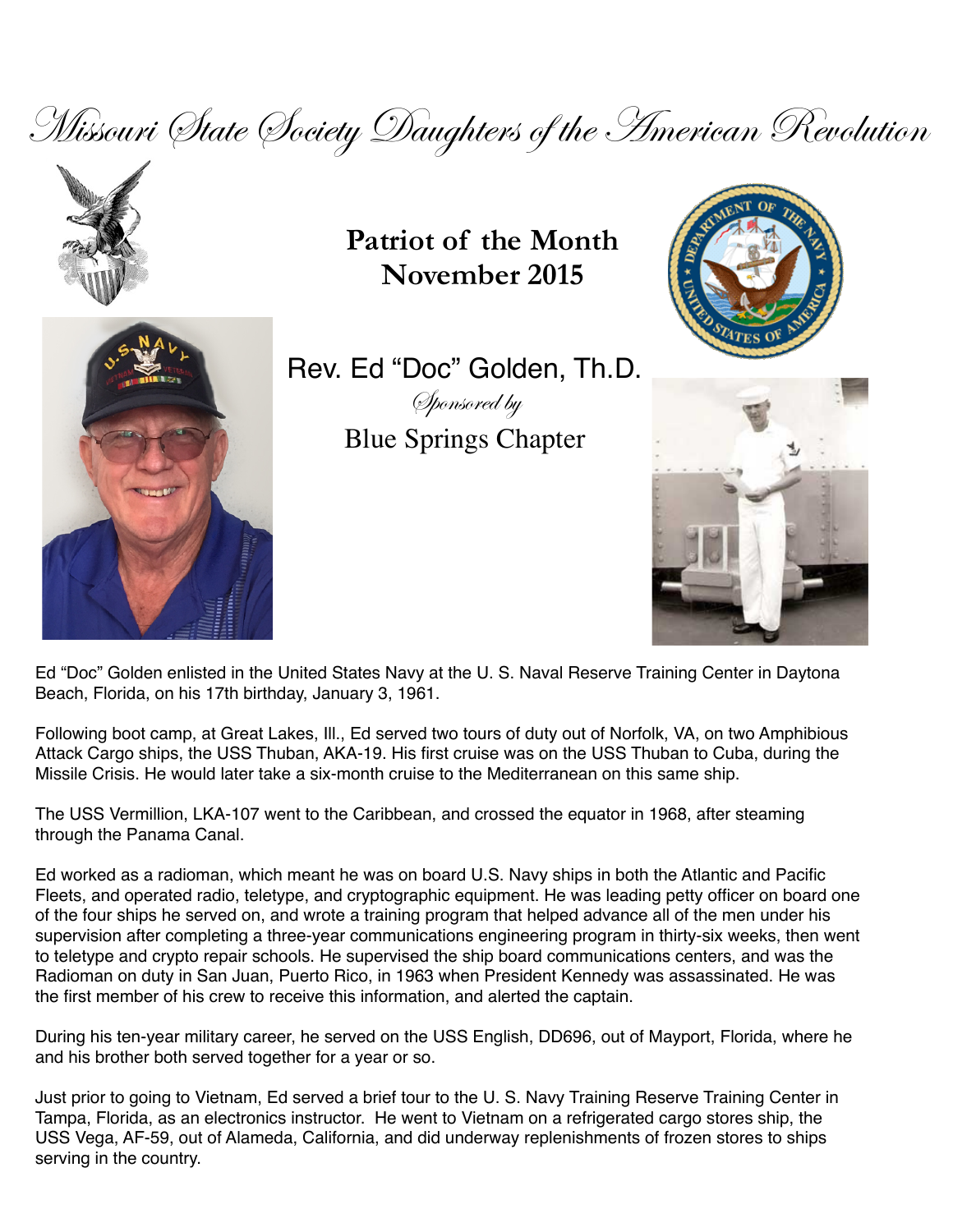Missouri State Society Daughters of the American Revolution



**Patriot of the Month November 2015**





Rev. Ed "Doc" Golden, Th.D. Sponsored by Blue Springs Chapter



Ed "Doc" Golden enlisted in the United States Navy at the U. S. Naval Reserve Training Center in Daytona Beach, Florida, on his 17th birthday, January 3, 1961.

Following boot camp, at Great Lakes, Ill., Ed served two tours of duty out of Norfolk, VA, on two Amphibious Attack Cargo ships, the USS Thuban, AKA-19. His first cruise was on the USS Thuban to Cuba, during the Missile Crisis. He would later take a six-month cruise to the Mediterranean on this same ship.

The USS Vermillion, LKA-107 went to the Caribbean, and crossed the equator in 1968, after steaming through the Panama Canal.

Ed worked as a radioman, which meant he was on board U.S. Navy ships in both the Atlantic and Pacific Fleets, and operated radio, teletype, and cryptographic equipment. He was leading petty officer on board one of the four ships he served on, and wrote a training program that helped advance all of the men under his supervision after completing a three-year communications engineering program in thirty-six weeks, then went to teletype and crypto repair schools. He supervised the ship board communications centers, and was the Radioman on duty in San Juan, Puerto Rico, in 1963 when President Kennedy was assassinated. He was the first member of his crew to receive this information, and alerted the captain.

During his ten-year military career, he served on the USS English, DD696, out of Mayport, Florida, where he and his brother both served together for a year or so.

Just prior to going to Vietnam, Ed served a brief tour to the U. S. Navy Training Reserve Training Center in Tampa, Florida, as an electronics instructor. He went to Vietnam on a refrigerated cargo stores ship, the USS Vega, AF-59, out of Alameda, California, and did underway replenishments of frozen stores to ships serving in the country.